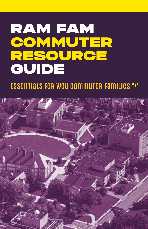# RAM FAM **COMMUTER** RESOURCE GUIDE

## Essentials for WCU Commuter Families

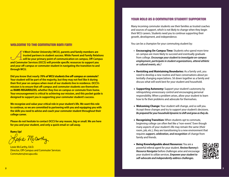#### **Welcome to the Commuter Ram Fam!**

**At West Chester University (WCU), parents and family members are trusted partners in student success. While Parent and Family Relat will be your primary point of communication on campus, Off-Campus Commuter Services (OCCS trusted partners in student success. While Parent and Family Relations will be your primary point of communication on campus, Off-Campus and Commuter Services (OCCS) will provide specific resources to support you and your off-campus or commuter student in navigating the transition to and through WCU.**

**Did you know that nearly** *70% of WCU students live off-campus or commute***? Your student will be part of the majority, but they may not feel like it during their first year on campus when most of our students live in residence. OCCS's mission is to ensure that off-campus and commuter students see themselves as RAMS REGARDLESS, whether they live on campus or commute from home. Your encouragement is critical to achieving our mission, and this pocket guide is designed to support you in supporting your commuter student's success.** 

**We recognize and value your critical role in your student's life. We want this role to continue, so we are committed to partnering with you and equipping you with the skills you need to advise and coach your commuter student throughout their college career.** 

**Please do not hesitate to contact OCCS for any reason, big or small. We are here for you and your student, and only a quick email or call away.** 

**Rams Up!** 

Kerie McCarthy

Lexie McCarthy, Ed.D. Director, Off-Campus and Commuter Services Commuters@wcupa.edu

#### **Your Role as a Commuter Student Supporter**

Many incoming commuter students see their families as trusted coaches and sources of support, which is not likely to change when they begin their WCU careers. Students need you to continue supporting their growth, development, and independence.

You can be a champion for your commuting student by:

- **• Encouraging On-Campus Time:** Students who spend more time on campus are more likely to succeed and eventually graduate from college. *Encourage your student to investigate on-campus employment, participate in student organizations, attend athletic or cultural events, etc.!*
- **Revisiting and Maintaining Boundaries:** As a family unit, you need to develop a new routine and have conversations about potentially changing expectations. Sit down together as a family and discuss what will work best for your student and household.
- **Supporting Autonomy:** Support your student's autonomy by relinquishing unnecessary control and encouraging personal responsibility. When a problem arises, allow your student to learn how to fix their problems and advocate for themselves.
- **Welcoming Change:** Your student will change, and so will you. Accept these changes and try to support your student's decisions. *Be prepared for your household dynamic to shift and grow as they do.*
- **Recognizing Transition:** When students opt to commute, beginning college can often feel like a "non-event." Even though many aspects of your student's life may remain the same (their room, job, etc.), they are transitioning to a new environment that requires *support, celebration, and recognition* of change from family and friends.
- **Being Knowledgeable about Resources:** You are a powerful referral agent for your student. *Review Rammy's Resource Navigator* before challenges arise and encourage your student to utilize services. *Empower your student to self-advocate and independently address challenges.*

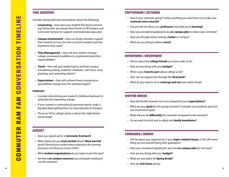#### **This Summer**

- Consider having informal conversations about the following: **Commuting –** How does your student feel about commut ing? Remember you always have friends at Off-Campus and Commuter Services for support (Commuters@wcupa.edu)!
- **Campus Involvement –** How can family members support their students to have the time at school needed to get the experience they want?
- **Time Management –** How will your student manage college coursework in addition to employment and other responsibilities?
- **Travel** How will your student get to and from campus considering parking, academic schedules, rush hours, meal planning, and carpooling options?
- **Expectations** How will curfews/chores/caregiving re sponsibilities change once the semester begins?

#### *Celebrate!*

- Consider refurnishing your student's childhood bedroom to symbolize the impending change
- If your student is commuting by personal vehicle, make a big deal about getting their car inspected and oil changed
- Throw an "off to college" party or dinner the night before classes begin

#### **August**

- Have you signed up for a **Commuter Assistant?**
- What classes are you **most excited** about? **Most worried** about? *Remind your student about tutoring at the Learning Assistance and Resource Center (LARC)!*
- What **student organizations** do you hope to join this year?
- Are there **on-campus resources** you anticipate needing to use this semester?

#### **September | October**

- How is your commute going? Is there anything you need from us to make your **commute more smooth?**
- Can you tell me about your **professors** and what you're **learning?**
- Have you considered applying to any **on-campus jobs** to reduce your commute?
- Have you thought about renting a **locker** on campus?
- What are you doing to relieve **stress?**

#### **November | December**

- Tell me about the **college friends** you have made so far!
- How are you doing with your **budget?**
- What is your **favorite part** about college so far?
- How can we support you through this **final push?**
- What do you need to do to **recharge and rest** over winter break?

#### **Winter Break**

- How did the fall semester turn out compared to your **expectations?**
- What are your **goals** for the spring semester? (Consider one academic goal and one involvement goal)
- What will you do **differently** this semester compared to last semester?
- Do we need to revisit and or adjust any **family boundaries?**

#### **February | March**

- Tell me about your experiences in your **major-related classes.** Is this still some thing you see yourself doing after graduation?
- Have you considered applying for any new **on-campus jobs** for next year?
- How are you doing with your **budget?**
- What are your plans for **Spring Break?**
- How are **mid-terms** going?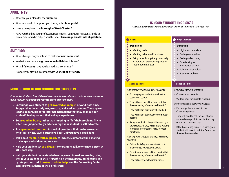#### **April | May**

- What are your plans for the **summer?**
- What can we do to support you through this **final push?**
- Have you explored the **Borough of West Chester?**
- Have you thanked your professors, peer leaders, Commuter Assistants, and academic advisors who helped you this year? **Encourage an attitude of gratitude!**

#### **Summer**

- What changes do you intend to make for **next semester?**
- In what ways have you **grown as an individual** this year?
- What **life lessons** have you learned as a commuter?
- How are you staying in contact with your **college friends?**

#### **Mental Health and Commuter Students**

*Commuter students face different stressors than residential students. Here are some ways you can help support your student's mental health:* 

- **• Encourage your student to get involved on campus beyond class time. Suggest that they study, eat, exercise, and work on campus. These spaces lead to opportunities for informal interactions that may change your student's feelings about their college experience.**
- **• Be a sounding board, rather than jumping to "fix" their problems. Try to listen non-judgmentally and encourage your student to self-advocate.**
- **• Ask open-ended questions instead of questions that can be answered with "yes" or "no." Avoid questions like: "Did you have a good day?"**
- **• Talk about mental health regularly to increase comfort around sharing challenges and addressing concerns.**
- **• Help your student set social goals. For example, talk to one new person at WCU each day.**
- **• Help your student understand when they need to seek counseling using the "Is your student in crisis?" graphic on the next page. Building resiliency is important, but it is okay to ask for help, and the Counseling Center can support students in crisis or distress!**

#### **Is your student in Crisis\*?**

*\*A crisis is an emergency situation in which there is an immediate safety concern*

#### **Definition:**

- Wanting to die
- Wanting to harm self or others
- Being recently physically or sexually
- assaulted, or experiencing another
- recent traumatic event  $\bullet$

#### $\bullet$  $\bullet$

 $\bullet$ 

*If it is Monday-Friday, 8:00 a.m. - 4:00 p.m.:*

- Encourage your student to walk to the Counseling Center.
- They will need to tell the front desk that they are having a "mental health crisis."
- They will fill out crisis form when asked.
- They will fill out paperwork on computer if asked.
- If they are told that they will be seen by a counselor ASAP, they will sit in the waiting room until a counselor is ready to meet with them.

*If it is any other time (e.g., evenings, weekends, holidays):* 

- Call Public Safety at 610-436-3311 or 911 or encourage your student to call.
- Your student should tell the operator that they are having a "mental health crisis."
- They will need to follow instructions.

#### **Crisis High Distress**

#### **Definition:**

- High stress or anxiety
- Feeling overwhelmed
- Feeling sad or crying
- Experiencing an
- unexpected change
- Relationship problem
- Academic problem

#### **Steps to Take:** Steps to Take:

#### *If your student has a therapist:*

- Contact your therapist.
- Wait for your therapist to respond.

*If your student does not have a therapist:* 

- Encourage them to walk to the Counseling Center.
- They will need to ask the receptionist for a walk-in appointment for that day or the next business day.
- If the Counseling Center is closed, your student will have to visit the Center on the next business day.